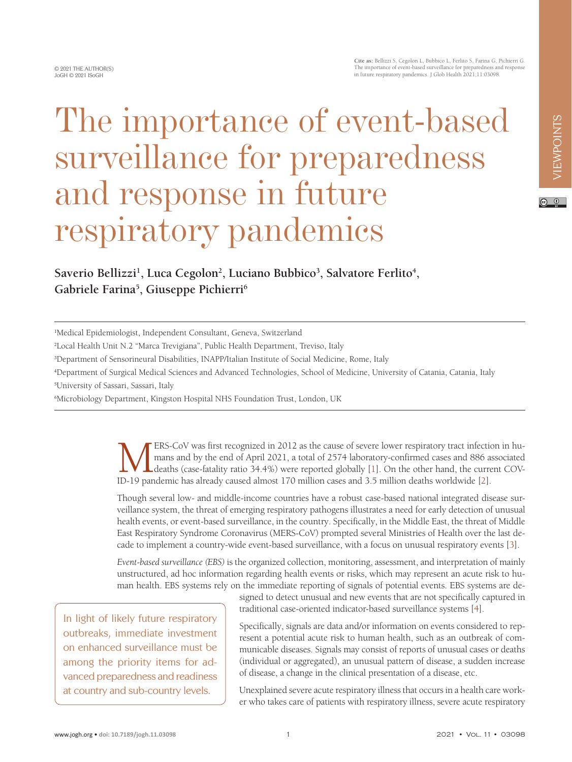© 2021 THE AUTHOR(S) JoGH © 2021 ISoGH

## The importance of event-based surveillance for preparedness and response in future respiratory pandemics

## Saverio Bellizzi<sup>1</sup>, Luca Cegolon<sup>2</sup>, Luciano Bubbico<sup>3</sup>, Salvatore Ferlito<sup>4</sup>, **Gabriele Farina5 , Giuseppe Pichierri6**

4 Department of Surgical Medical Sciences and Advanced Technologies, School of Medicine, University of Catania, Catania, Italy

5 University of Sassari, Sassari, Italy

6 Microbiology Department, Kingston Hospital NHS Foundation Trust, London, UK

ERS-CoV was first recognized in 2012 as the cause of severe lower respiratory tract infection in humans and by the end of April 2021, a total of 2574 laboratory-confirmed cases and 886 associated deaths (case-fatality rati mans and by the end of April 2021, a total of 2574 laboratory-confirmed cases and 886 associated deaths (case-fatality ratio 34.4%) were reported globally [1]. On the other hand, the current COV-ID-19 pandemic has already caused almost 170 million cases and 3.5 million deaths worldwide [\[2](#page-2-1)].

Though several low- and middle-income countries have a robust case-based national integrated disease surveillance system, the threat of emerging respiratory pathogens illustrates a need for early detection of unusual health events, or event-based surveillance, in the country. Specifically, in the Middle East, the threat of Middle East Respiratory Syndrome Coronavirus (MERS-CoV) prompted several Ministries of Health over the last decade to implement a country-wide event-based surveillance, with a focus on unusual respiratory events [\[3\]](#page-2-2).

*Event-based surveillance (EBS)* is the organized collection, monitoring, assessment, and interpretation of mainly unstructured, ad hoc information regarding health events or risks, which may represent an acute risk to human health. EBS systems rely on the immediate reporting of signals of potential events. EBS systems are de-

In light of likely future respiratory outbreaks, immediate investment on enhanced surveillance must be among the priority items for advanced preparedness and readiness at country and sub-country levels.

signed to detect unusual and new events that are not specifically captured in traditional case-oriented indicator-based surveillance systems [[4\]](#page-2-3).

Specifically, signals are data and/or information on events considered to represent a potential acute risk to human health, such as an outbreak of communicable diseases. Signals may consist of reports of unusual cases or deaths (individual or aggregated), an unusual pattern of disease, a sudden increase of disease, a change in the clinical presentation of a disease, etc.

Unexplained severe acute respiratory illness that occurs in a health care worker who takes care of patients with respiratory illness, severe acute respiratory

<sup>1</sup> Medical Epidemiologist, Independent Consultant, Geneva, Switzerland

<sup>2</sup> Local Health Unit N.2 "Marca Trevigiana", Public Health Department, Treviso, Italy

<sup>3</sup> Department of Sensorineural Disabilities, INAPP/Italian Institute of Social Medicine, Rome, Italy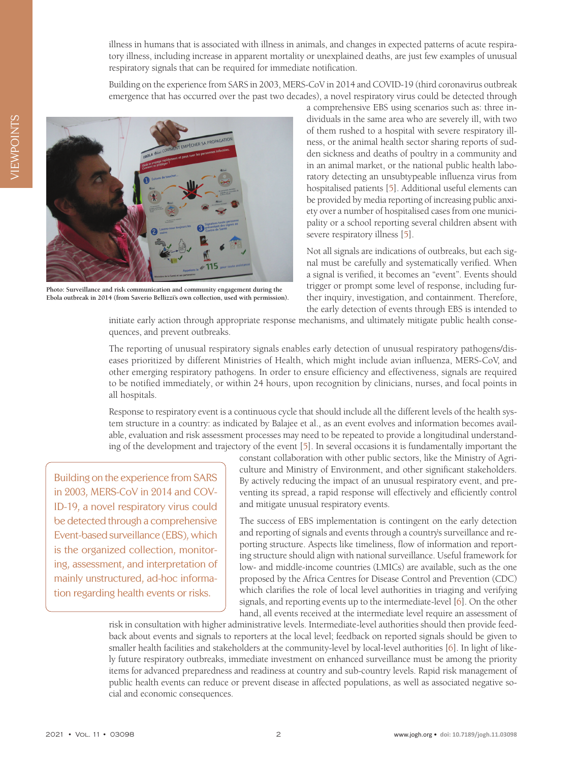illness in humans that is associated with illness in animals, and changes in expected patterns of acute respiratory illness, including increase in apparent mortality or unexplained deaths, are just few examples of unusual respiratory signals that can be required for immediate notification.

Building on the experience from SARS in 2003, MERS-CoV in 2014 and COVID-19 (third coronavirus outbreak emergence that has occurred over the past two decades), a novel respiratory virus could be detected through

a comprehensive EBS using scenarios such as: three individuals in the same area who are severely ill, with two of them rushed to a hospital with severe respiratory illness, or the animal health sector sharing reports of sudden sickness and deaths of poultry in a community and in an animal market, or the national public health laboratory detecting an unsubtypeable influenza virus from hospitalised patients [[5\]](#page-2-4). Additional useful elements can be provided by media reporting of increasing public anxiety over a number of hospitalised cases from one municipality or a school reporting several children absent with severe respiratory illness [\[5\]](#page-2-4).

Not all signals are indications of outbreaks, but each signal must be carefully and systematically verified. When a signal is verified, it becomes an "event". Events should trigger or prompt some level of response, including further inquiry, investigation, and containment. Therefore, the early detection of events through EBS is intended to

initiate early action through appropriate response mechanisms, and ultimately mitigate public health consequences, and prevent outbreaks.

The reporting of unusual respiratory signals enables early detection of unusual respiratory pathogens/diseases prioritized by different Ministries of Health, which might include avian influenza, MERS-CoV, and other emerging respiratory pathogens. In order to ensure efficiency and effectiveness, signals are required to be notified immediately, or within 24 hours, upon recognition by clinicians, nurses, and focal points in all hospitals.

Response to respiratory event is a continuous cycle that should include all the different levels of the health system structure in a country: as indicated by Balajee et al., as an event evolves and information becomes available, evaluation and risk assessment processes may need to be repeated to provide a longitudinal understanding of the development and trajectory of the event [[5\]](#page-2-4). In several occasions it is fundamentally important the

Building on the experience from SARS in 2003, MERS-CoV in 2014 and COV-ID-19, a novel respiratory virus could be detected through a comprehensive Event-based surveillance (EBS), which is the organized collection, monitoring, assessment, and interpretation of mainly unstructured, ad-hoc information regarding health events or risks.

**Photo: Surveillance and risk communication and community engagement during the Ebola outbreak in 2014 (from Saverio Bellizzi's own collection, used with permission).**

> constant collaboration with other public sectors, like the Ministry of Agriculture and Ministry of Environment, and other significant stakeholders. By actively reducing the impact of an unusual respiratory event, and preventing its spread, a rapid response will effectively and efficiently control and mitigate unusual respiratory events.

> The success of EBS implementation is contingent on the early detection and reporting of signals and events through a country's surveillance and reporting structure. Aspects like timeliness, flow of information and reporting structure should align with national surveillance. Useful framework for low- and middle-income countries (LMICs) are available, such as the one proposed by the Africa Centres for Disease Control and Prevention (CDC) which clarifies the role of local level authorities in triaging and verifying signals, and reporting events up to the intermediate-level [[6\]](#page-2-5). On the other hand, all events received at the intermediate level require an assessment of

risk in consultation with higher administrative levels. Intermediate-level authorities should then provide feedback about events and signals to reporters at the local level; feedback on reported signals should be given to smaller health facilities and stakeholders at the community-level by local-level authorities [\[6](#page-2-5)]. In light of likely future respiratory outbreaks, immediate investment on enhanced surveillance must be among the priority items for advanced preparedness and readiness at country and sub-country levels. Rapid risk management of public health events can reduce or prevent disease in affected populations, as well as associated negative social and economic consequences.